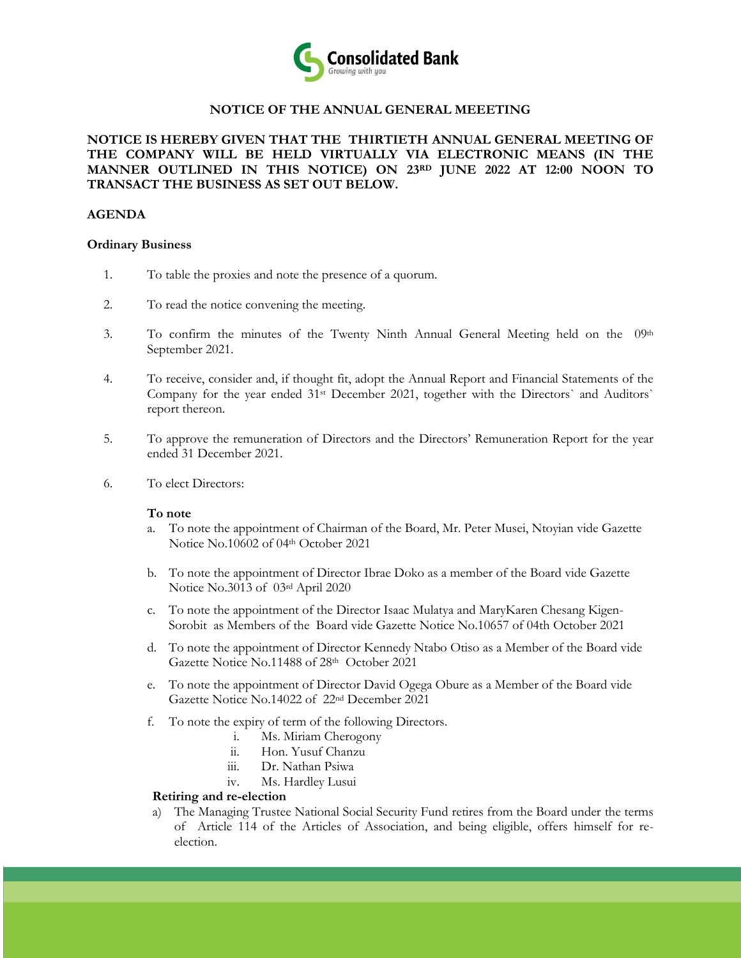

# **NOTICE OF THE ANNUAL GENERAL MEEETING**

**NOTICE IS HEREBY GIVEN THAT THE THIRTIETH ANNUAL GENERAL MEETING OF THE COMPANY WILL BE HELD VIRTUALLY VIA ELECTRONIC MEANS (IN THE MANNER OUTLINED IN THIS NOTICE) ON 23RD JUNE 2022 AT 12:00 NOON TO TRANSACT THE BUSINESS AS SET OUT BELOW.**

### **AGENDA**

#### **Ordinary Business**

- 1. To table the proxies and note the presence of a quorum.
- 2. To read the notice convening the meeting.
- 3. To confirm the minutes of the Twenty Ninth Annual General Meeting held on the  $0.9th$ September 2021.
- 4. To receive, consider and, if thought fit, adopt the Annual Report and Financial Statements of the Company for the year ended 31st December 2021, together with the Directors` and Auditors` report thereon.
- 5. To approve the remuneration of Directors and the Directors' Remuneration Report for the year ended 31 December 2021.
- 6. To elect Directors:

### **To note**

- a. To note the appointment of Chairman of the Board, Mr. Peter Musei, Ntoyian vide Gazette Notice No.10602 of 04th October 2021
- b. To note the appointment of Director Ibrae Doko as a member of the Board vide Gazette Notice No.3013 of 03rd April 2020
- c. To note the appointment of the Director Isaac Mulatya and MaryKaren Chesang Kigen-Sorobit as Members of the Board vide Gazette Notice No.10657 of 04th October 2021
- d. To note the appointment of Director Kennedy Ntabo Otiso as a Member of the Board vide Gazette Notice No.11488 of 28th October 2021
- e. To note the appointment of Director David Ogega Obure as a Member of the Board vide Gazette Notice No.14022 of 22nd December 2021
- f. To note the expiry of term of the following Directors.
	- i. Ms. Miriam Cherogony
	- ii. Hon. Yusuf Chanzu
	- iii. Dr. Nathan Psiwa
	- iv. Ms. Hardley Lusui

### **Retiring and re-election**

a) The Managing Trustee National Social Security Fund retires from the Board under the terms of Article 114 of the Articles of Association, and being eligible, offers himself for reelection.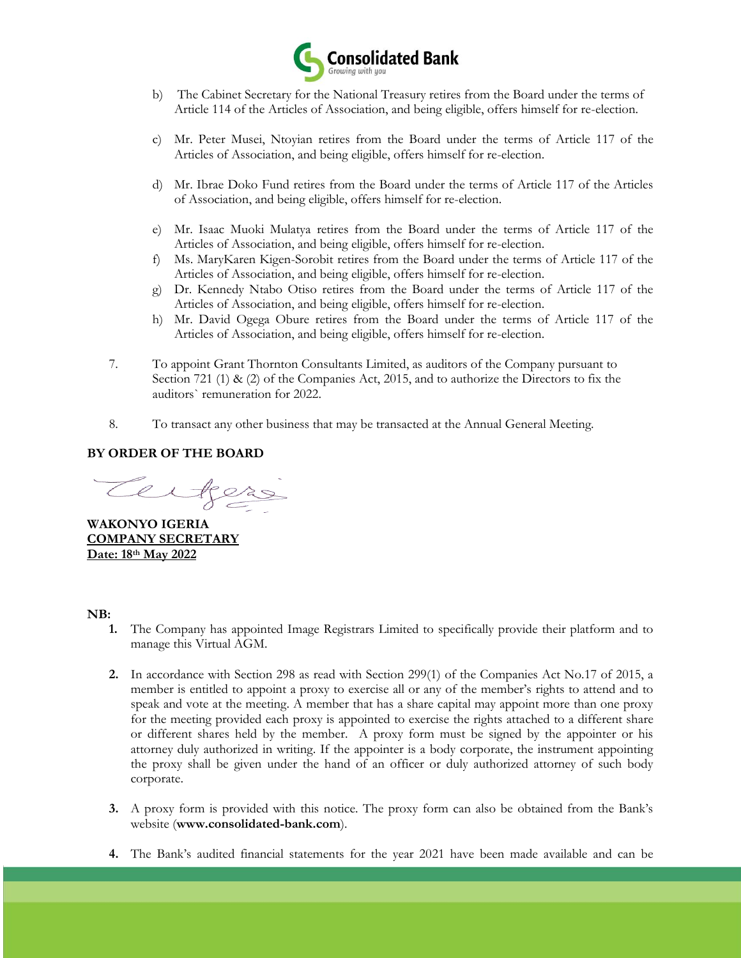

- b) The Cabinet Secretary for the National Treasury retires from the Board under the terms of Article 114 of the Articles of Association, and being eligible, offers himself for re-election.
- c) Mr. Peter Musei, Ntoyian retires from the Board under the terms of Article 117 of the Articles of Association, and being eligible, offers himself for re-election.
- d) Mr. Ibrae Doko Fund retires from the Board under the terms of Article 117 of the Articles of Association, and being eligible, offers himself for re-election.
- e) Mr. Isaac Muoki Mulatya retires from the Board under the terms of Article 117 of the Articles of Association, and being eligible, offers himself for re-election.
- f) Ms. MaryKaren Kigen-Sorobit retires from the Board under the terms of Article 117 of the Articles of Association, and being eligible, offers himself for re-election.
- g) Dr. Kennedy Ntabo Otiso retires from the Board under the terms of Article 117 of the Articles of Association, and being eligible, offers himself for re-election.
- h) Mr. David Ogega Obure retires from the Board under the terms of Article 117 of the Articles of Association, and being eligible, offers himself for re-election.
- 7. To appoint Grant Thornton Consultants Limited, as auditors of the Company pursuant to Section 721 (1) & (2) of the Companies Act, 2015, and to authorize the Directors to fix the auditors` remuneration for 2022.
- 8. To transact any other business that may be transacted at the Annual General Meeting.

# **BY ORDER OF THE BOARD**

**WAKONYO IGERIA COMPANY SECRETARY Date: 18th May 2022**

# **NB:**

- **1.** The Company has appointed Image Registrars Limited to specifically provide their platform and to manage this Virtual AGM.
- **2.** In accordance with Section 298 as read with Section 299(1) of the Companies Act No.17 of 2015, a member is entitled to appoint a proxy to exercise all or any of the member's rights to attend and to speak and vote at the meeting. A member that has a share capital may appoint more than one proxy for the meeting provided each proxy is appointed to exercise the rights attached to a different share or different shares held by the member. A proxy form must be signed by the appointer or his attorney duly authorized in writing. If the appointer is a body corporate, the instrument appointing the proxy shall be given under the hand of an officer or duly authorized attorney of such body corporate.
- **3.** A proxy form is provided with this notice. The proxy form can also be obtained from the Bank's website (**[www.consolidated-bank.com](http://www.consolidated-bank.com/)**).
- **4.** The Bank's audited financial statements for the year 2021 have been made available and can be